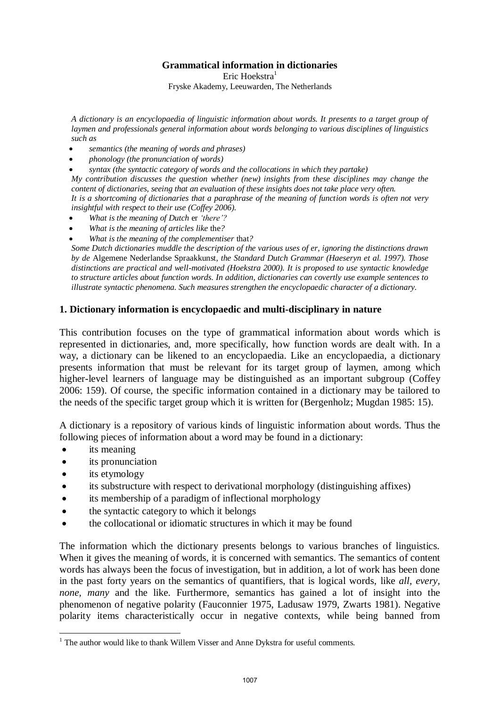## **Grammatical information in dictionaries**

Eric Hoekstra $<sup>1</sup>$ </sup>

Fryske Akademy, Leeuwarden, The Netherlands

*A dictionary is an encyclopaedia of linguistic information about words. It presents to a target group of laymen and professionals general information about words belonging to various disciplines of linguistics such as* 

- *semantics (the meaning of words and phrases)*
- *phonology (the pronunciation of words)*
- *syntax (the syntactic category of words and the collocations in which they partake)*

*My contribution discusses the question whether (new) insights from these disciplines may change the content of dictionaries, seeing that an evaluation of these insights does not take place very often. It is a shortcoming of dictionaries that a paraphrase of the meaning of function words is often not very insightful with respect to their use (Coffey 2006).* 

- *What is the meaning of Dutch* er *'there'?*
- *What is the meaning of articles like* the*?*
- *What is the meaning of the complementiser* that*?*

*Some Dutch dictionaries muddle the description of the various uses of er, ignoring the distinctions drawn by de* Algemene Nederlandse Spraakkunst*, the Standard Dutch Grammar (Haeseryn et al. 1997). Those distinctions are practical and well-motivated (Hoekstra 2000). It is proposed to use syntactic knowledge to structure articles about function words. In addition, dictionaries can covertly use example sentences to illustrate syntactic phenomena. Such measures strengthen the encyclopaedic character of a dictionary.* 

## **1. Dictionary information is encyclopaedic and multi-disciplinary in nature**

This contribution focuses on the type of grammatical information about words which is represented in dictionaries, and, more specifically, how function words are dealt with. In a way, a dictionary can be likened to an encyclopaedia. Like an encyclopaedia, a dictionary presents information that must be relevant for its target group of laymen, among which higher-level learners of language may be distinguished as an important subgroup (Coffey 2006: 159). Of course, the specific information contained in a dictionary may be tailored to the needs of the specific target group which it is written for (Bergenholz; Mugdan 1985: 15).

A dictionary is a repository of various kinds of linguistic information about words. Thus the following pieces of information about a word may be found in a dictionary:

- its meaning
- its pronunciation
- its etymology

1

- its substructure with respect to derivational morphology (distinguishing affixes)
- its membership of a paradigm of inflectional morphology
- the syntactic category to which it belongs
- the collocational or idiomatic structures in which it may be found

The information which the dictionary presents belongs to various branches of linguistics. When it gives the meaning of words, it is concerned with semantics. The semantics of content words has always been the focus of investigation, but in addition, a lot of work has been done in the past forty years on the semantics of quantifiers, that is logical words, like *all, every, none, many* and the like. Furthermore, semantics has gained a lot of insight into the phenomenon of negative polarity (Fauconnier 1975, Ladusaw 1979, Zwarts 1981). Negative polarity items characteristically occur in negative contexts, while being banned from

 $1$  The author would like to thank Willem Visser and Anne Dykstra for useful comments.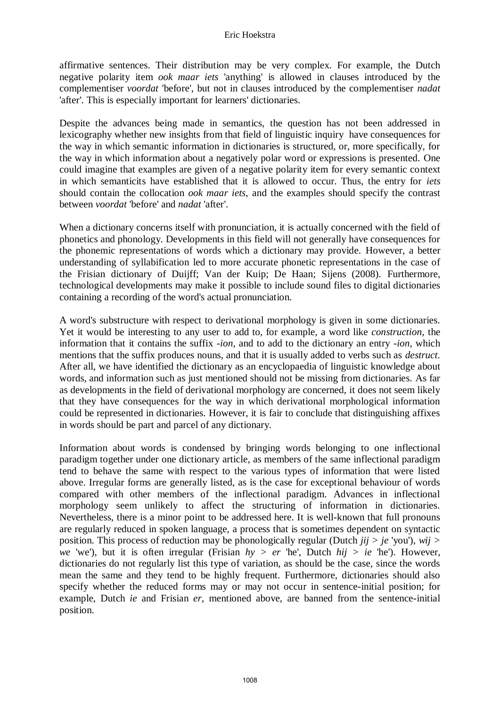affirmative sentences. Their distribution may be very complex. For example, the Dutch negative polarity item *ook maar iets* 'anything' is allowed in clauses introduced by the complementiser *voordat* 'before', but not in clauses introduced by the complementiser *nadat*  'after'. This is especially important for learners' dictionaries.

Despite the advances being made in semantics, the question has not been addressed in lexicography whether new insights from that field of linguistic inquiry have consequences for the way in which semantic information in dictionaries is structured, or, more specifically, for the way in which information about a negatively polar word or expressions is presented. One could imagine that examples are given of a negative polarity item for every semantic context in which semanticits have established that it is allowed to occur. Thus, the entry for *iets*  should contain the collocation *ook maar iets*, and the examples should specify the contrast between *voordat* 'before' and *nadat* 'after'.

When a dictionary concerns itself with pronunciation, it is actually concerned with the field of phonetics and phonology. Developments in this field will not generally have consequences for the phonemic representations of words which a dictionary may provide. However, a better understanding of syllabification led to more accurate phonetic representations in the case of the Frisian dictionary of Duijff; Van der Kuip; De Haan; Sijens (2008). Furthermore, technological developments may make it possible to include sound files to digital dictionaries containing a recording of the word's actual pronunciation.

A word's substructure with respect to derivational morphology is given in some dictionaries. Yet it would be interesting to any user to add to, for example, a word like *construction*, the information that it contains the suffix *-ion*, and to add to the dictionary an entry *-ion*, which mentions that the suffix produces nouns, and that it is usually added to verbs such as *destruct*. After all, we have identified the dictionary as an encyclopaedia of linguistic knowledge about words, and information such as just mentioned should not be missing from dictionaries. As far as developments in the field of derivational morphology are concerned, it does not seem likely that they have consequences for the way in which derivational morphological information could be represented in dictionaries. However, it is fair to conclude that distinguishing affixes in words should be part and parcel of any dictionary.

Information about words is condensed by bringing words belonging to one inflectional paradigm together under one dictionary article, as members of the same inflectional paradigm tend to behave the same with respect to the various types of information that were listed above. Irregular forms are generally listed, as is the case for exceptional behaviour of words compared with other members of the inflectional paradigm. Advances in inflectional morphology seem unlikely to affect the structuring of information in dictionaries. Nevertheless, there is a minor point to be addressed here. It is well-known that full pronouns are regularly reduced in spoken language, a process that is sometimes dependent on syntactic position. This process of reduction may be phonologically regular (Dutch *jij > je* 'you'), *wij > we* 'we'), but it is often irregular (Frisian *hy > er* 'he', Dutch *hij > ie* 'he'). However, dictionaries do not regularly list this type of variation, as should be the case, since the words mean the same and they tend to be highly frequent. Furthermore, dictionaries should also specify whether the reduced forms may or may not occur in sentence-initial position; for example, Dutch *ie* and Frisian *er*, mentioned above, are banned from the sentence-initial position.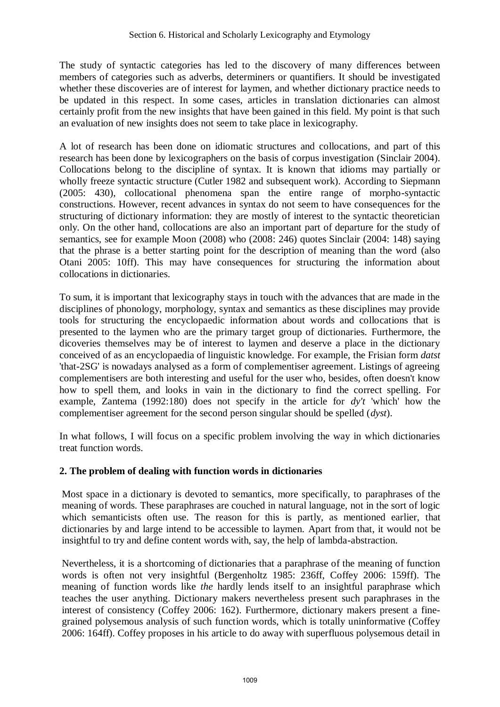The study of syntactic categories has led to the discovery of many differences between members of categories such as adverbs, determiners or quantifiers. It should be investigated whether these discoveries are of interest for laymen, and whether dictionary practice needs to be updated in this respect. In some cases, articles in translation dictionaries can almost certainly profit from the new insights that have been gained in this field. My point is that such an evaluation of new insights does not seem to take place in lexicography.

A lot of research has been done on idiomatic structures and collocations, and part of this research has been done by lexicographers on the basis of corpus investigation (Sinclair 2004). Collocations belong to the discipline of syntax. It is known that idioms may partially or wholly freeze syntactic structure (Cutler 1982 and subsequent work). According to Siepmann (2005: 430), collocational phenomena span the entire range of morpho-syntactic constructions. However, recent advances in syntax do not seem to have consequences for the structuring of dictionary information: they are mostly of interest to the syntactic theoretician only. On the other hand, collocations are also an important part of departure for the study of semantics, see for example Moon (2008) who (2008: 246) quotes Sinclair (2004: 148) saying that the phrase is a better starting point for the description of meaning than the word (also Otani 2005: 10ff). This may have consequences for structuring the information about collocations in dictionaries.

To sum, it is important that lexicography stays in touch with the advances that are made in the disciplines of phonology, morphology, syntax and semantics as these disciplines may provide tools for structuring the encyclopaedic information about words and collocations that is presented to the laymen who are the primary target group of dictionaries. Furthermore, the dicoveries themselves may be of interest to laymen and deserve a place in the dictionary conceived of as an encyclopaedia of linguistic knowledge. For example, the Frisian form *datst*  'that-2SG' is nowadays analysed as a form of complementiser agreement. Listings of agreeing complementisers are both interesting and useful for the user who, besides, often doesn't know how to spell them, and looks in vain in the dictionary to find the correct spelling. For example, Zantema (1992:180) does not specify in the article for *dy't* 'which' how the complementiser agreement for the second person singular should be spelled (*dyst*).

In what follows, I will focus on a specific problem involving the way in which dictionaries treat function words.

# **2. The problem of dealing with function words in dictionaries**

Most space in a dictionary is devoted to semantics, more specifically, to paraphrases of the meaning of words. These paraphrases are couched in natural language, not in the sort of logic which semanticists often use. The reason for this is partly, as mentioned earlier, that dictionaries by and large intend to be accessible to laymen. Apart from that, it would not be insightful to try and define content words with, say, the help of lambda-abstraction.

Nevertheless, it is a shortcoming of dictionaries that a paraphrase of the meaning of function words is often not very insightful (Bergenholtz 1985: 236ff, Coffey 2006: 159ff). The meaning of function words like *the* hardly lends itself to an insightful paraphrase which teaches the user anything. Dictionary makers nevertheless present such paraphrases in the interest of consistency (Coffey 2006: 162). Furthermore, dictionary makers present a finegrained polysemous analysis of such function words, which is totally uninformative (Coffey 2006: 164ff). Coffey proposes in his article to do away with superfluous polysemous detail in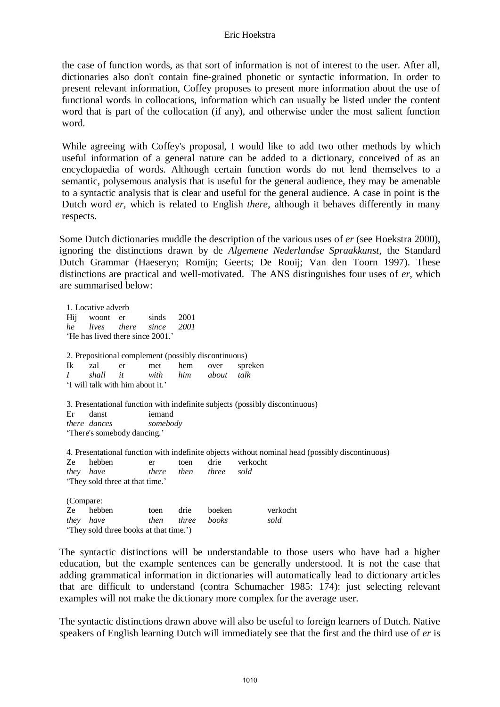#### Eric Hoekstra

the case of function words, as that sort of information is not of interest to the user. After all, dictionaries also don't contain fine-grained phonetic or syntactic information. In order to present relevant information, Coffey proposes to present more information about the use of functional words in collocations, information which can usually be listed under the content word that is part of the collocation (if any), and otherwise under the most salient function word.

While agreeing with Coffey's proposal, I would like to add two other methods by which useful information of a general nature can be added to a dictionary, conceived of as an encyclopaedia of words. Although certain function words do not lend themselves to a semantic, polysemous analysis that is useful for the general audience, they may be amenable to a syntactic analysis that is clear and useful for the general audience. A case in point is the Dutch word *er*, which is related to English *there*, although it behaves differently in many respects.

Some Dutch dictionaries muddle the description of the various uses of *er* (see Hoekstra 2000), ignoring the distinctions drawn by de *Algemene Nederlandse Spraakkunst*, the Standard Dutch Grammar (Haeseryn; Romijn; Geerts; De Rooij; Van den Toorn 1997). These distinctions are practical and well-motivated. The ANS distinguishes four uses of *er*, which are summarised below:

1. Locative adverb Hij woont er sinds 2001 *he lives there since 2001*  'He has lived there since 2001.' 2. Prepositional complement (possibly discontinuous) Ik zal er met hem over spreken *I shall it with him about talk*  'I will talk with him about it.' 3. Presentational function with indefinite subjects (possibly discontinuous) Er danst iemand *there dances somebody*  'There's somebody dancing.' 4. Presentational function with indefinite objects without nominal head (possibly discontinuous) Ze hebben er toen drie verkocht *they have there then three sold*  'They sold three at that time.' (Compare: Ze hebben toen drie boeken verkocht *they have then three books sold*  'They sold three books at that time.')

The syntactic distinctions will be understandable to those users who have had a higher education, but the example sentences can be generally understood. It is not the case that adding grammatical information in dictionaries will automatically lead to dictionary articles that are difficult to understand (contra Schumacher 1985: 174): just selecting relevant examples will not make the dictionary more complex for the average user.

The syntactic distinctions drawn above will also be useful to foreign learners of Dutch. Native speakers of English learning Dutch will immediately see that the first and the third use of *er* is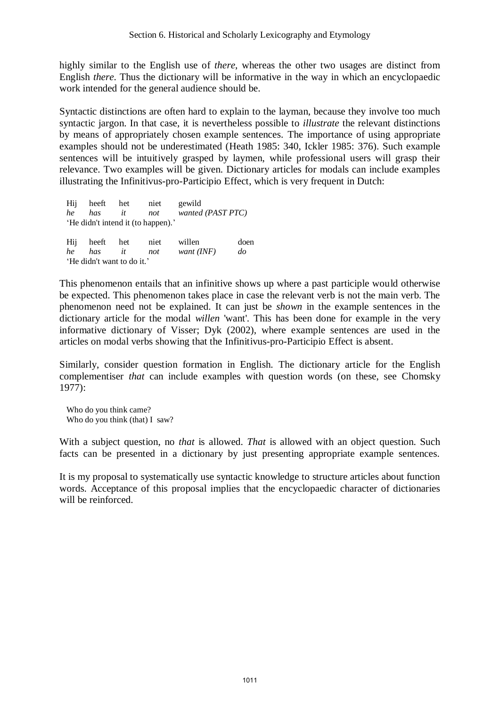highly similar to the English use of *there*, whereas the other two usages are distinct from English *there*. Thus the dictionary will be informative in the way in which an encyclopaedic work intended for the general audience should be.

Syntactic distinctions are often hard to explain to the layman, because they involve too much syntactic jargon. In that case, it is nevertheless possible to *illustrate* the relevant distinctions by means of appropriately chosen example sentences. The importance of using appropriate examples should not be underestimated (Heath 1985: 340, Ickler 1985: 376). Such example sentences will be intuitively grasped by laymen, while professional users will grasp their relevance. Two examples will be given. Dictionary articles for modals can include examples illustrating the Infinitivus-pro-Participio Effect, which is very frequent in Dutch:

Hij heeft het niet gewild *he has it not wanted (PAST PTC)* 'He didn't intend it (to happen).' Hij heeft het niet willen doen *he has it not want (INF) do* 'He didn't want to do it.'

This phenomenon entails that an infinitive shows up where a past participle would otherwise be expected. This phenomenon takes place in case the relevant verb is not the main verb. The phenomenon need not be explained. It can just be *shown* in the example sentences in the dictionary article for the modal *willen* 'want'. This has been done for example in the very informative dictionary of Visser; Dyk (2002), where example sentences are used in the articles on modal verbs showing that the Infinitivus-pro-Participio Effect is absent.

Similarly, consider question formation in English. The dictionary article for the English complementiser *that* can include examples with question words (on these, see Chomsky 1977):

Who do you think came? Who do you think (that) I saw?

With a subject question, no *that* is allowed. *That* is allowed with an object question. Such facts can be presented in a dictionary by just presenting appropriate example sentences.

It is my proposal to systematically use syntactic knowledge to structure articles about function words. Acceptance of this proposal implies that the encyclopaedic character of dictionaries will be reinforced.